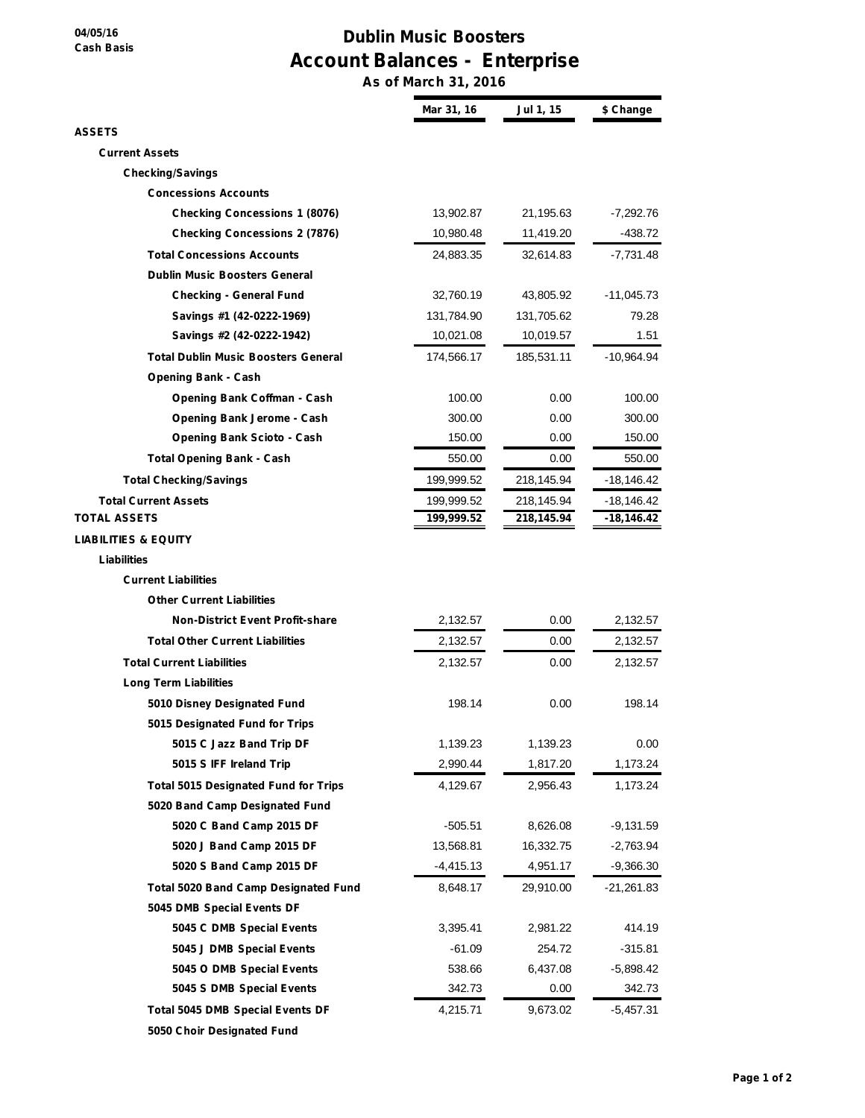**04/05/16 Cash Basis**

## **Dublin Music Boosters Account Balances - Enterprise**

**As of March 31, 2016**

|                                             | Mar 31, 16  | Jul 1, 15  | \$ Change    |
|---------------------------------------------|-------------|------------|--------------|
| ASSETS                                      |             |            |              |
| <b>Current Assets</b>                       |             |            |              |
| <b>Checking/Savings</b>                     |             |            |              |
| <b>Concessions Accounts</b>                 |             |            |              |
| <b>Checking Concessions 1 (8076)</b>        | 13,902.87   | 21,195.63  | -7,292.76    |
| <b>Checking Concessions 2 (7876)</b>        | 10,980.48   | 11,419.20  | -438.72      |
| <b>Total Concessions Accounts</b>           | 24,883.35   | 32,614.83  | -7,731.48    |
| <b>Dublin Music Boosters General</b>        |             |            |              |
| <b>Checking - General Fund</b>              | 32,760.19   | 43,805.92  | -11,045.73   |
| Savings #1 (42-0222-1969)                   | 131,784.90  | 131,705.62 | 79.28        |
| Savings #2 (42-0222-1942)                   | 10,021.08   | 10,019.57  | 1.51         |
| <b>Total Dublin Music Boosters General</b>  | 174,566.17  | 185,531.11 | -10,964.94   |
| <b>Opening Bank - Cash</b>                  |             |            |              |
| Opening Bank Coffman - Cash                 | 100.00      | 0.00       | 100.00       |
| <b>Opening Bank Jerome - Cash</b>           | 300.00      | 0.00       | 300.00       |
| <b>Opening Bank Scioto - Cash</b>           | 150.00      | 0.00       | 150.00       |
| <b>Total Opening Bank - Cash</b>            | 550.00      | 0.00       | 550.00       |
| <b>Total Checking/Savings</b>               | 199,999.52  | 218,145.94 | -18,146.42   |
| <b>Total Current Assets</b>                 | 199,999.52  | 218,145.94 | -18,146.42   |
| TOTAL ASSETS                                | 199,999.52  | 218,145.94 | -18,146.42   |
| LIABILITIES & EQUITY                        |             |            |              |
| Liabilities                                 |             |            |              |
| <b>Current Liabilities</b>                  |             |            |              |
| <b>Other Current Liabilities</b>            |             |            |              |
| <b>Non-District Event Profit-share</b>      | 2,132.57    | 0.00       | 2,132.57     |
| <b>Total Other Current Liabilities</b>      | 2,132.57    | 0.00       | 2,132.57     |
| <b>Total Current Liabilities</b>            | 2,132.57    | 0.00       | 2,132.57     |
| <b>Long Term Liabilities</b>                |             |            |              |
| 5010 Disney Designated Fund                 | 198.14      | 0.00       | 198.14       |
| 5015 Designated Fund for Trips              |             |            |              |
| 5015 C Jazz Band Trip DF                    | 1,139.23    | 1,139.23   | 0.00         |
| 5015 S IFF Ireland Trip                     | 2,990.44    | 1,817.20   | 1,173.24     |
| <b>Total 5015 Designated Fund for Trips</b> | 4,129.67    | 2,956.43   | 1,173.24     |
| 5020 Band Camp Designated Fund              |             |            |              |
| 5020 C Band Camp 2015 DF                    | $-505.51$   | 8,626.08   | $-9,131.59$  |
| 5020 J Band Camp 2015 DF                    | 13,568.81   | 16,332.75  | $-2,763.94$  |
| 5020 S Band Camp 2015 DF                    | $-4,415.13$ | 4,951.17   | $-9,366.30$  |
| <b>Total 5020 Band Camp Designated Fund</b> | 8,648.17    | 29,910.00  | $-21,261.83$ |
| 5045 DMB Special Events DF                  |             |            |              |
| 5045 C DMB Special Events                   | 3,395.41    | 2,981.22   | 414.19       |
| 5045 J DMB Special Events                   | $-61.09$    | 254.72     | $-315.81$    |
| 5045 O DMB Special Events                   | 538.66      | 6,437.08   | $-5,898.42$  |
| 5045 S DMB Special Events                   | 342.73      | 0.00       | 342.73       |
| <b>Total 5045 DMB Special Events DF</b>     | 4,215.71    | 9,673.02   | $-5,457.31$  |
| 5050 Choir Designated Fund                  |             |            |              |
|                                             |             |            |              |